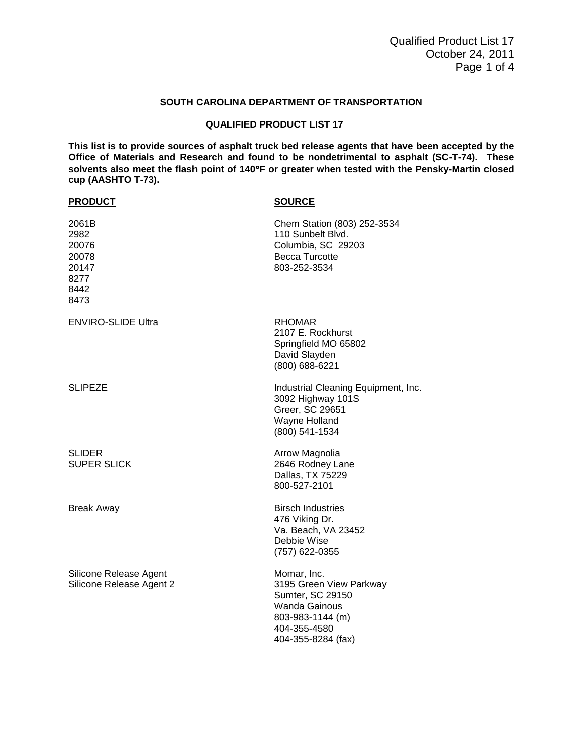## **SOUTH CAROLINA DEPARTMENT OF TRANSPORTATION**

## **QUALIFIED PRODUCT LIST 17**

**This list is to provide sources of asphalt truck bed release agents that have been accepted by the Office of Materials and Research and found to be nondetrimental to asphalt (SC-T-74). These solvents also meet the flash point of 140F or greater when tested with the Pensky-Martin closed cup (AASHTO T-73).**

| <b>PRODUCT</b>                                                   | <b>SOURCE</b>                                                                                                                                |
|------------------------------------------------------------------|----------------------------------------------------------------------------------------------------------------------------------------------|
| 2061B<br>2982<br>20076<br>20078<br>20147<br>8277<br>8442<br>8473 | Chem Station (803) 252-3534<br>110 Sunbelt Blvd.<br>Columbia, SC 29203<br>Becca Turcotte<br>803-252-3534                                     |
| <b>ENVIRO-SLIDE Ultra</b>                                        | <b>RHOMAR</b><br>2107 E. Rockhurst<br>Springfield MO 65802<br>David Slayden<br>(800) 688-6221                                                |
| <b>SLIPEZE</b>                                                   | Industrial Cleaning Equipment, Inc.<br>3092 Highway 101S<br>Greer, SC 29651<br>Wayne Holland<br>(800) 541-1534                               |
| <b>SLIDER</b><br><b>SUPER SLICK</b>                              | Arrow Magnolia<br>2646 Rodney Lane<br>Dallas, TX 75229<br>800-527-2101                                                                       |
| <b>Break Away</b>                                                | <b>Birsch Industries</b><br>476 Viking Dr.<br>Va. Beach, VA 23452<br>Debbie Wise<br>(757) 622-0355                                           |
| Silicone Release Agent<br>Silicone Release Agent 2               | Momar, Inc.<br>3195 Green View Parkway<br>Sumter, SC 29150<br><b>Wanda Gainous</b><br>803-983-1144 (m)<br>404-355-4580<br>404-355-8284 (fax) |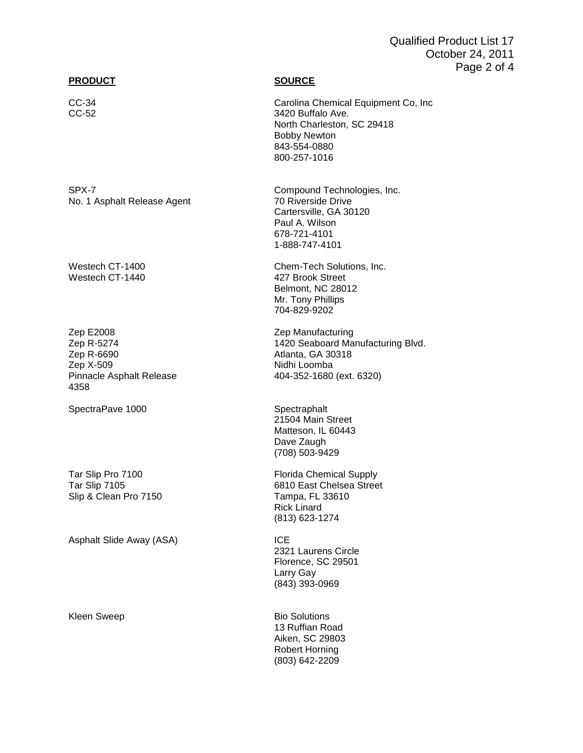# Qualified Product List 17 October 24, 2011 Page 2 of 4

## **PRODUCT SOURCE**

No. 1 Asphalt Release Agent 70 Riverside Drive

Westech CT-1440

Zep E2008 Zep Manufacturing Zep R-6690 Atlanta, GA 30318 Zep X-509 Nidhi Loomba 4358

SpectraPave 1000 Spectraphalt

Slip & Clean Pro 7150 Tampa, FL 33610

Asphalt Slide Away (ASA) **ICE** 

CC-34 Carolina Chemical Equipment Co, Inc CC-52 3420 Buffalo Ave. North Charleston, SC 29418 Bobby Newton 843-554-0880 800-257-1016

SPX-7 Compound Technologies, Inc. Cartersville, GA 30120 Paul A. Wilson 678-721-4101 1-888-747-4101

Westech CT-1400 Chem-Tech Solutions, Inc.<br>Westech CT-1440 Chem-Tech Solutions, Inc. Belmont, NC 28012 Mr. Tony Phillips 704-829-9202

Zep R-5274 1420 Seaboard Manufacturing Blvd. 404-352-1680 (ext. 6320)

> 21504 Main Street Matteson, IL 60443 Dave Zaugh (708) 503-9429

Tar Slip Pro 7100 **Florida Chemical Supply** Tar Slip 7105 6810 East Chelsea Street Rick Linard (813) 623-1274

> 2321 Laurens Circle Florence, SC 29501 Larry Gay (843) 393-0969

Kleen Sweep **Bio Solutions** 13 Ruffian Road Aiken, SC 29803 Robert Horning (803) 642-2209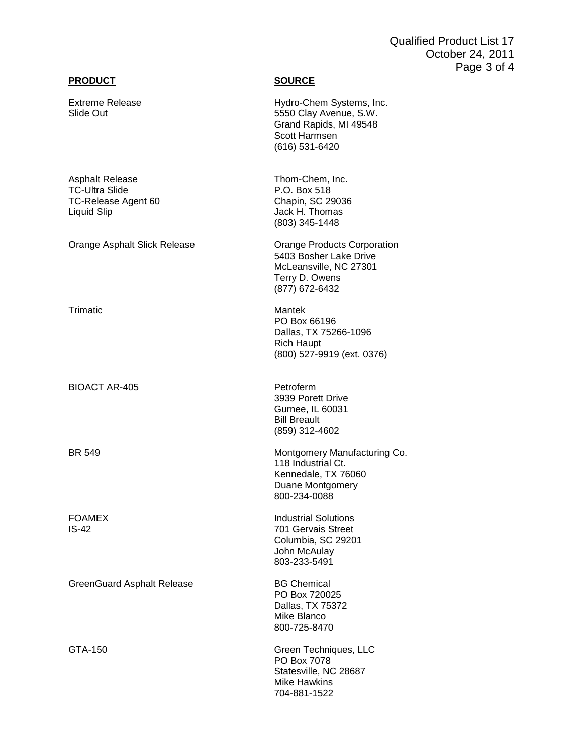# **PRODUCT SOURCE**

Trimatic

GTA-150

| <b>Extreme Release</b><br>Slide Out                                            | Hydro-Chem Systems, Inc.<br>5550 Clay Avenue, S.W.<br>Grand Rapids, MI 49548<br>Scott Harmsen<br>(616) 531-6420     |
|--------------------------------------------------------------------------------|---------------------------------------------------------------------------------------------------------------------|
| Asphalt Release<br><b>TC-Ultra Slide</b><br>TC-Release Agent 60<br>Liquid Slip | Thom-Chem, Inc.<br>P.O. Box 518<br>Chapin, SC 29036<br>Jack H. Thomas<br>(803) 345-1448                             |
| Orange Asphalt Slick Release                                                   | Orange Products Corporation<br>5403 Bosher Lake Drive<br>McLeansville, NC 27301<br>Terry D. Owens<br>(877) 672-6432 |
| Trimatic                                                                       | Mantek<br>PO Box 66196<br>Dallas, TX 75266-1096<br><b>Rich Haupt</b><br>(800) 527-9919 (ext. 0376)                  |
| <b>BIOACT AR-405</b>                                                           | Petroferm<br>3939 Porett Drive<br>Gurnee, IL 60031<br><b>Bill Breault</b><br>(859) 312-4602                         |
| <b>BR 549</b>                                                                  | Montgomery Manufacturing Co.<br>118 Industrial Ct.<br>Kennedale, TX 76060<br>Duane Montgomery<br>800-234-0088       |
| <b>FOAMEX</b><br>IS-42                                                         | <b>Industrial Solutions</b><br>701 Gervais Street<br>Columbia, SC 29201<br>John McAulay<br>803-233-5491             |
| <b>GreenGuard Asphalt Release</b>                                              | <b>BG Chemical</b><br>PO Box 720025<br>Dallas, TX 75372<br>Mike Blanco<br>800-725-8470                              |
| GTA-150                                                                        | Green Techniques, LLC<br>PO Box 7078<br>Statesville, NC 28687<br><b>Mike Hawkins</b><br>704-881-1522                |